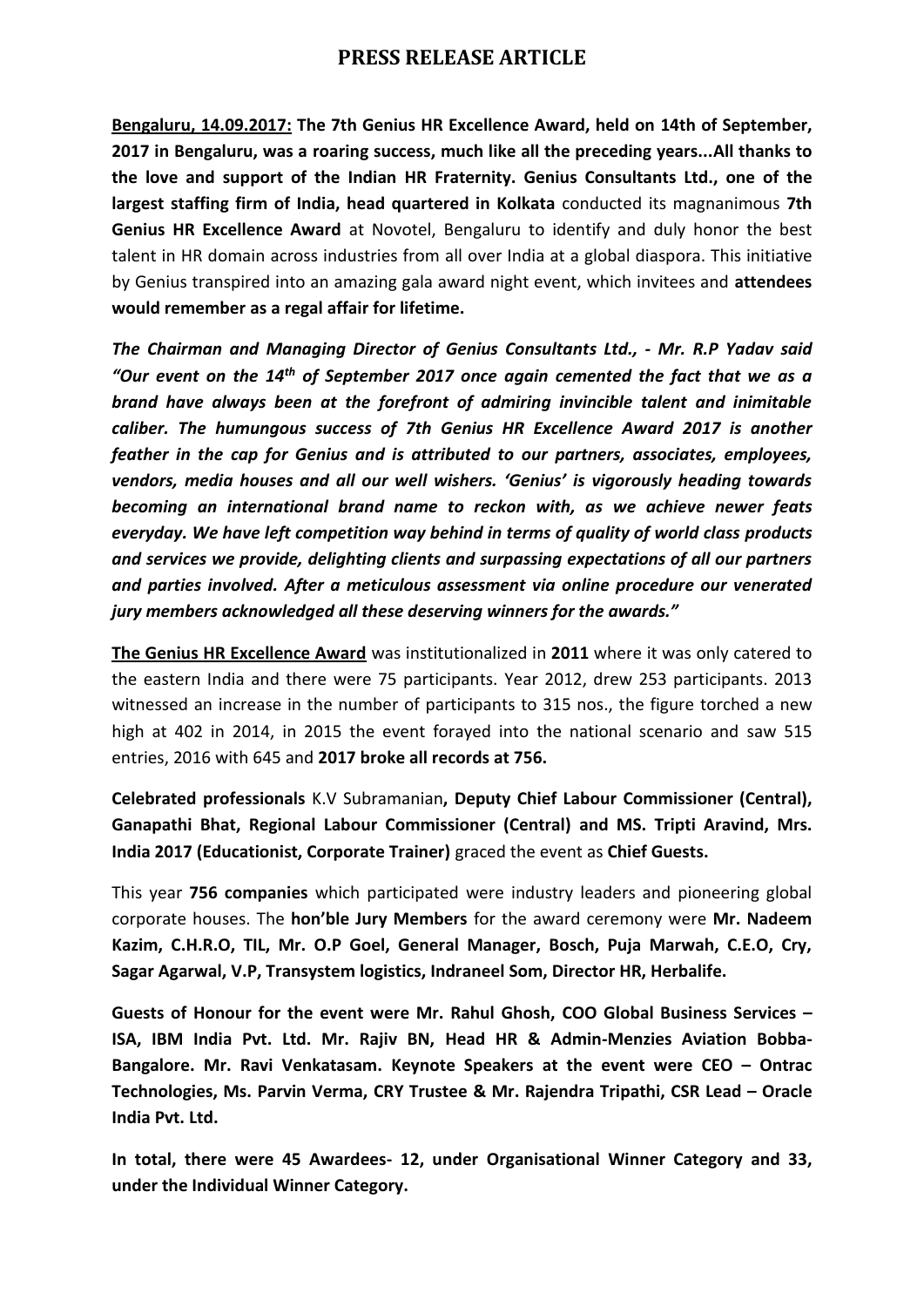## **PRESS RELEASE ARTICLE**

**Bengaluru, 14.09.2017: The 7th Genius HR Excellence Award, held on 14th of September, 2017 in Bengaluru, was a roaring success, much like all the preceding years...All thanks to the love and support of the Indian HR Fraternity. Genius Consultants Ltd., one of the largest staffing firm of India, head quartered in Kolkata** conducted its magnanimous **7th Genius HR Excellence Award** at Novotel, Bengaluru to identify and duly honor the best talent in HR domain across industries from all over India at a global diaspora. This initiative by Genius transpired into an amazing gala award night event, which invitees and **attendees would remember as a regal affair for lifetime.**

*The Chairman and Managing Director of Genius Consultants Ltd., - Mr. R.P Yadav said "Our event on the 14th of September 2017 once again cemented the fact that we as a brand have always been at the forefront of admiring invincible talent and inimitable caliber. The humungous success of 7th Genius HR Excellence Award 2017 is another feather in the cap for Genius and is attributed to our partners, associates, employees, vendors, media houses and all our well wishers. 'Genius' is vigorously heading towards becoming an international brand name to reckon with, as we achieve newer feats everyday. We have left competition way behind in terms of quality of world class products and services we provide, delighting clients and surpassing expectations of all our partners and parties involved. After a meticulous assessment via online procedure our venerated jury members acknowledged all these deserving winners for the awards."* 

**The Genius HR Excellence Award** was institutionalized in **2011** where it was only catered to the eastern India and there were 75 participants. Year 2012, drew 253 participants. 2013 witnessed an increase in the number of participants to 315 nos., the figure torched a new high at 402 in 2014, in 2015 the event forayed into the national scenario and saw 515 entries, 2016 with 645 and **2017 broke all records at 756.**

**Celebrated professionals** K.V Subramanian**, Deputy Chief Labour Commissioner (Central), Ganapathi Bhat, Regional Labour Commissioner (Central) and MS. Tripti Aravind, Mrs. India 2017 (Educationist, Corporate Trainer)** graced the event as **Chief Guests.**

This year **756 companies** which participated were industry leaders and pioneering global corporate houses. The **hon'ble Jury Members** for the award ceremony were **Mr. Nadeem Kazim, C.H.R.O, TIL, Mr. O.P Goel, General Manager, Bosch, Puja Marwah, C.E.O, Cry, Sagar Agarwal, V.P, Transystem logistics, Indraneel Som, Director HR, Herbalife.**

**Guests of Honour for the event were Mr. Rahul Ghosh, COO Global Business Services – ISA, IBM India Pvt. Ltd. Mr. Rajiv BN, Head HR & Admin-Menzies Aviation Bobba-Bangalore. Mr. Ravi Venkatasam. Keynote Speakers at the event were CEO – Ontrac Technologies, Ms. Parvin Verma, CRY Trustee & Mr. Rajendra Tripathi, CSR Lead – Oracle India Pvt. Ltd.**

**In total, there were 45 Awardees- 12, under Organisational Winner Category and 33, under the Individual Winner Category.**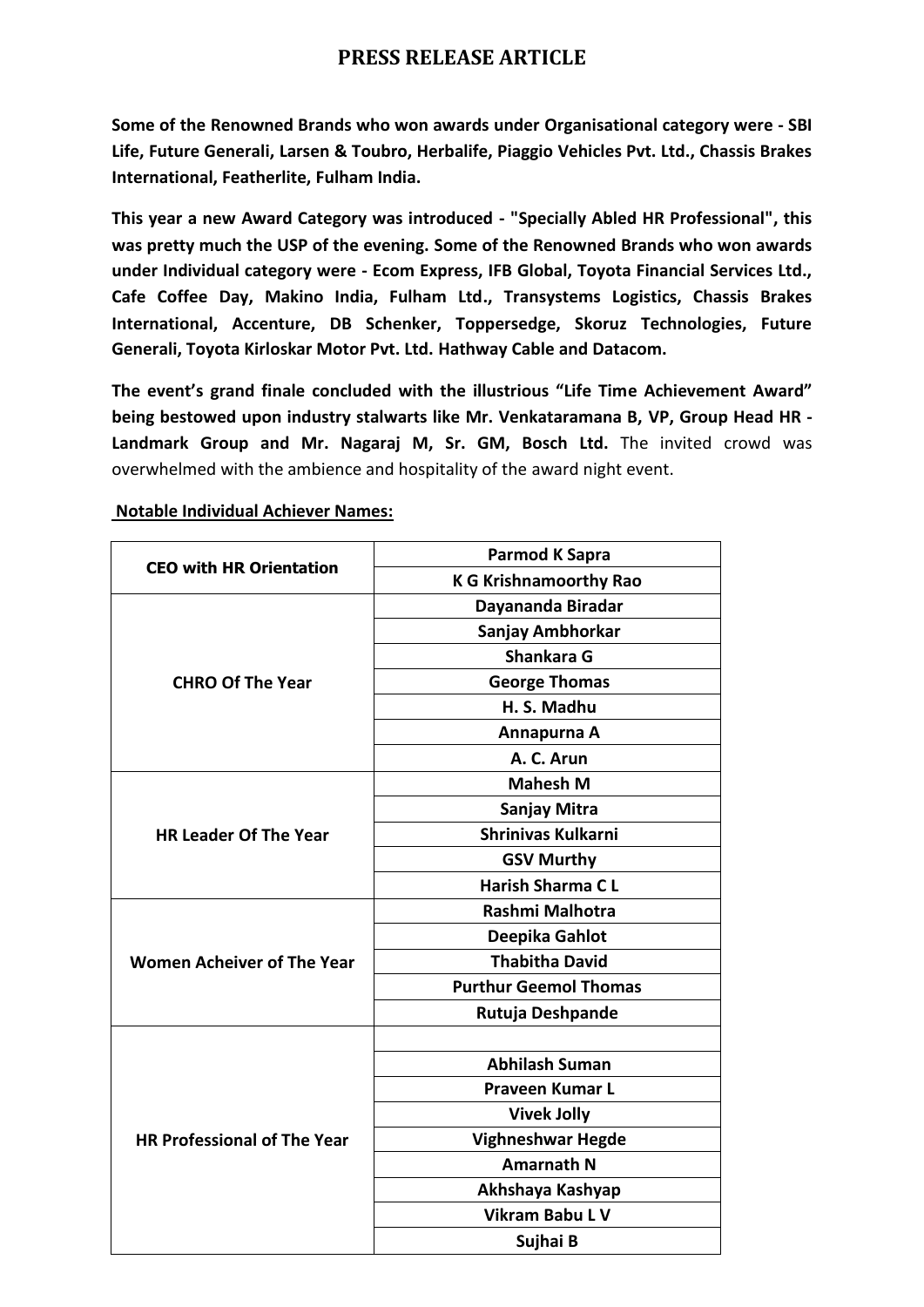## **PRESS RELEASE ARTICLE**

**Some of the Renowned Brands who won awards under Organisational category were - SBI Life, Future Generali, Larsen & Toubro, Herbalife, Piaggio Vehicles Pvt. Ltd., Chassis Brakes International, Featherlite, Fulham India.**

**This year a new Award Category was introduced - "Specially Abled HR Professional", this was pretty much the USP of the evening. Some of the Renowned Brands who won awards under Individual category were - Ecom Express, IFB Global, Toyota Financial Services Ltd., Cafe Coffee Day, Makino India, Fulham Ltd., Transystems Logistics, Chassis Brakes International, Accenture, DB Schenker, Toppersedge, Skoruz Technologies, Future Generali, Toyota Kirloskar Motor Pvt. Ltd. Hathway Cable and Datacom.**

**The event's grand finale concluded with the illustrious "Life Time Achievement Award" being bestowed upon industry stalwarts like Mr. Venkataramana B, VP, Group Head HR - Landmark Group and Mr. Nagaraj M, Sr. GM, Bosch Ltd.** The invited crowd was overwhelmed with the ambience and hospitality of the award night event.

| <b>CEO with HR Orientation</b>     | Parmod K Sapra                |
|------------------------------------|-------------------------------|
|                                    | <b>K G Krishnamoorthy Rao</b> |
| <b>CHRO Of The Year</b>            | Dayananda Biradar             |
|                                    | Sanjay Ambhorkar              |
|                                    | Shankara G                    |
|                                    | <b>George Thomas</b>          |
|                                    | H. S. Madhu                   |
|                                    | Annapurna A                   |
|                                    | A. C. Arun                    |
| <b>HR Leader Of The Year</b>       | <b>Mahesh M</b>               |
|                                    | Sanjay Mitra                  |
|                                    | <b>Shrinivas Kulkarni</b>     |
|                                    | <b>GSV Murthy</b>             |
|                                    | <b>Harish Sharma CL</b>       |
| <b>Women Acheiver of The Year</b>  | Rashmi Malhotra               |
|                                    | Deepika Gahlot                |
|                                    | <b>Thabitha David</b>         |
|                                    | <b>Purthur Geemol Thomas</b>  |
|                                    | Rutuja Deshpande              |
| <b>HR Professional of The Year</b> |                               |
|                                    | <b>Abhilash Suman</b>         |
|                                    | <b>Praveen Kumar L</b>        |
|                                    | <b>Vivek Jolly</b>            |
|                                    | <b>Vighneshwar Hegde</b>      |
|                                    | <b>Amarnath N</b>             |
|                                    | Akhshaya Kashyap              |
|                                    | <b>Vikram Babu L V</b>        |
|                                    | Sujhai B                      |

## **Notable Individual Achiever Names:**